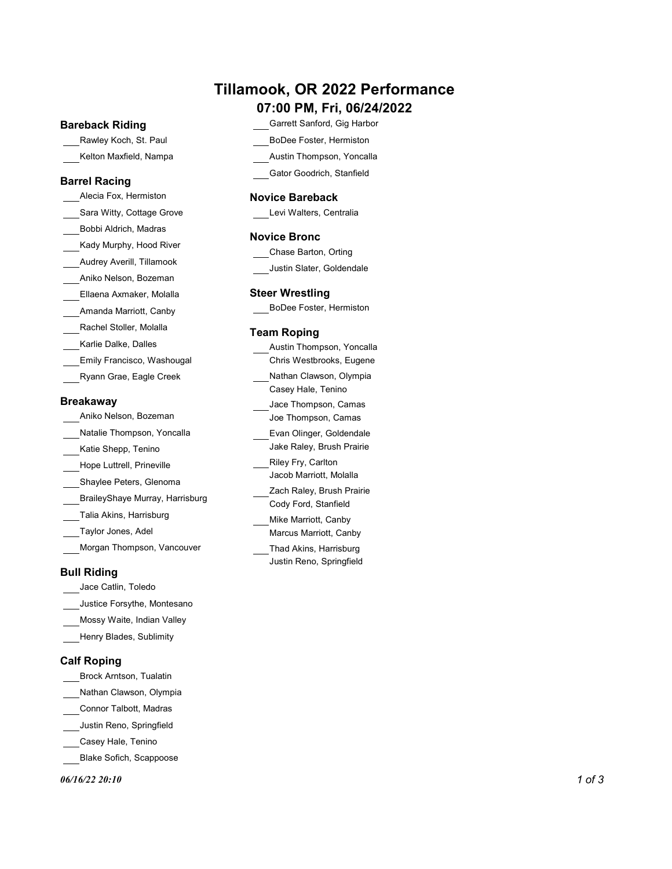# Tillamook, OR 2022 Performance

# 07:00 PM, Fri, 06/24/2022

### Bareback Riding

Rawley Koch, St. Paul

# Barrel Racing

Sara Witty, Cottage Grove Bobbi Aldrich, Madras Kady Murphy, Hood River Audrey Averill, Tillamook Aniko Nelson, Bozeman Ellaena Axmaker, Molalla Amanda Marriott, Canby Rachel Stoller, Molalla Karlie Dalke, Dalles Emily Francisco, Washougal Ryann Grae, Eagle Creek Breakaway

# Aniko Nelson, Bozeman

| ATIINU NGCISUTI. DUZUTTULI      | JOE THOMPSON, Camas                                |
|---------------------------------|----------------------------------------------------|
| Natalie Thompson, Yoncalla      | Evan Olinger, Goldendale                           |
| Katie Shepp, Tenino             | Jake Raley, Brush Prairie                          |
| Hope Luttrell, Prineville       | Riley Fry, Carlton                                 |
| Shaylee Peters, Glenoma         | Jacob Marriott, Molalla                            |
| BraileyShaye Murray, Harrisburg | Zach Raley, Brush Prairie<br>Cody Ford, Stanfield  |
| Talia Akins, Harrisburg         | Mike Marriott, Canby                               |
| Taylor Jones, Adel              | Marcus Marriott, Canby                             |
| Morgan Thompson, Vancouver      | Thad Akins, Harrisburg<br>Justin Reno, Springfield |

# Bull Riding

- Jace Catlin, Toledo
- Justice Forsythe, Montesano
- Mossy Waite, Indian Valley
- Henry Blades, Sublimity

# Calf Roping

- Brock Arntson, Tualatin
- Nathan Clawson, Olympia
- Connor Talbott, Madras
- Justin Reno, Springfield
- Casey Hale, Tenino
- Blake Sofich, Scappoose

 $06/16/2220:10$  1 of 3

- Garrett Sanford, Gig Harbor
- BoDee Foster, Hermiston
- Kelton Maxfield, Nampa Austin Thompson, Yoncalla
	- Gator Goodrich, Stanfield

## Alecia Fox, Hermiston **Novice Bareback Alecia Fox, Hermiston**

Levi Walters, Centralia

#### Novice Bronc

- Chase Barton, Orting
- Justin Slater, Goldendale

### Steer Wrestling

BoDee Foster, Hermiston

## Team Roping

| Karile Dalke, Dalles            | Austin Thompson, Yoncalla |
|---------------------------------|---------------------------|
| Emily Francisco, Washougal      | Chris Westbrooks, Eugene  |
| Ryann Grae, Eagle Creek         | Nathan Clawson, Olympia   |
|                                 | Casey Hale, Tenino        |
| akawav                          | Jace Thompson, Camas      |
| Aniko Nelson, Bozeman           | Joe Thompson, Camas       |
| Natalie Thompson, Yoncalla      | Evan Olinger, Goldendale  |
| Katie Shepp, Tenino             | Jake Raley, Brush Prairie |
| Hope Luttrell, Prineville       | Riley Fry, Carlton        |
| Shaylee Peters, Glenoma         | Jacob Marriott, Molalla   |
| BraileyShaye Murray, Harrisburg | Zach Raley, Brush Prairie |
|                                 | Cody Ford, Stanfield      |
| Talia Akins, Harrisburg         | Mike Marriott, Canby      |
| Taylor Jones, Adel              | Marcus Marriott, Canby    |
|                                 |                           |

Justin Reno, Springfield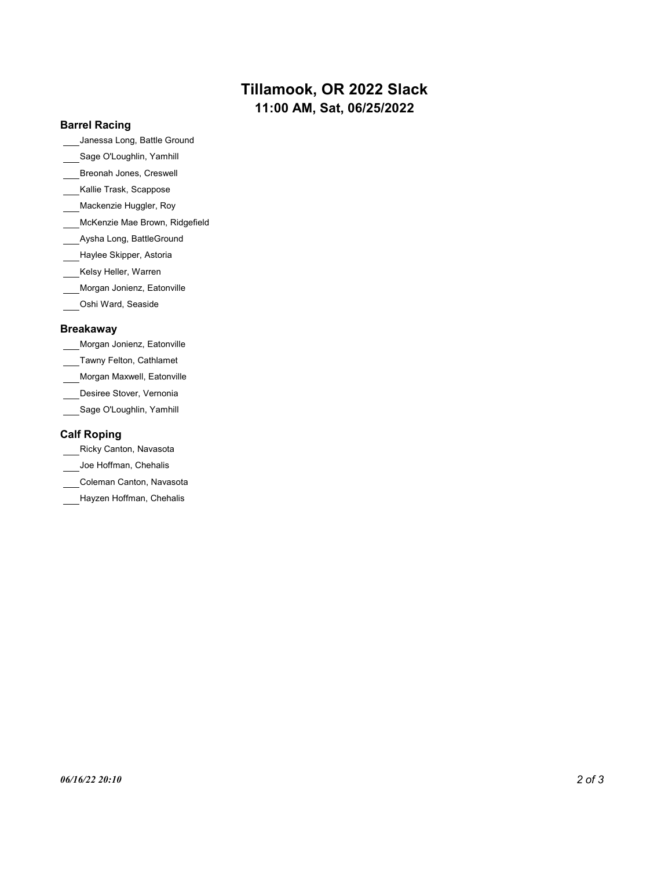# Tillamook, OR 2022 Slack 11:00 AM, Sat, 06/25/2022

### Barrel Racing

Janessa Long, Battle Ground

- Sage O'Loughlin, Yamhill
- Breonah Jones, Creswell
- Kallie Trask, Scappose
- Mackenzie Huggler, Roy
- McKenzie Mae Brown, Ridgefield
- Aysha Long, BattleGround
- Haylee Skipper, Astoria
- Kelsy Heller, Warren
- Morgan Jonienz, Eatonville
- Oshi Ward, Seaside

#### Breakaway

- Morgan Jonienz, Eatonville
- Tawny Felton, Cathlamet
- Morgan Maxwell, Eatonville
- Desiree Stover, Vernonia
- \_\_Sage O'Loughlin, Yamhill

# Calf Roping

Ricky Canton, Navasota

- Joe Hoffman, Chehalis
- Coleman Canton, Navasota
- Hayzen Hoffman, Chehalis